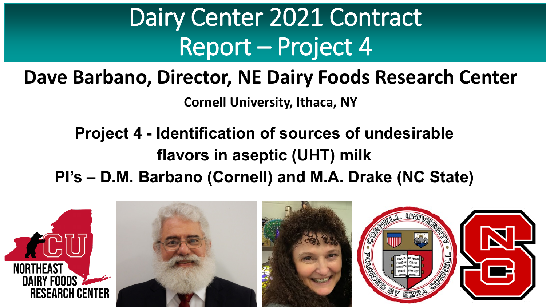### **Dave Barbano, Director, NE Dairy Foods Research Center**

**Cornell University, Ithaca, NY**

### **Project 4 - Identification of sources of undesirable flavors in aseptic (UHT) milk**

#### **PI's – D.M. Barbano (Cornell) and M.A. Drake (NC State)**

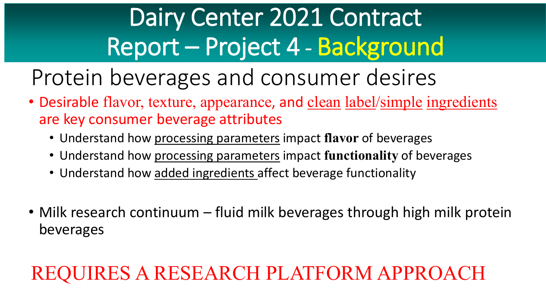# Dairy Center 2021 Contract Report – Project 4 - Background

Protein beverages and consumer desires

- Desirable flavor, texture, appearance, and clean label/simple ingredients are key consumer beverage attributes
	- Understand how processing parameters impact **flavor** of beverages
	- Understand how processing parameters impact **functionality** of beverages
	- Understand how added ingredients affect beverage functionality
- Milk research continuum fluid milk beverages through high milk protein beverages

### REQUIRES A RESEARCH PLATFORM APPROACH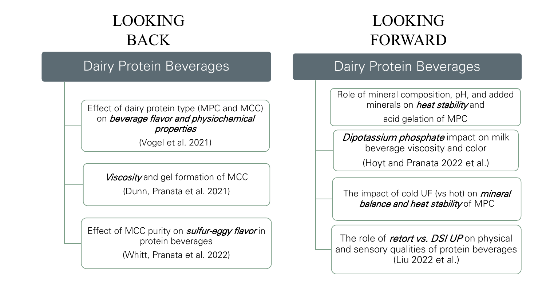### LOOKING BACK

#### Dairy Protein Beverages

Effect of dairy protein type (MPC and MCC) on beverage flavor and physiochemical properties

(Vogel et al. 2021)

Viscosity and gel formation of MCC

(Dunn, Pranata et al. 2021)

Effect of MCC purity on *sulfur-eggy flavor* in protein beverages

(Whitt, Pranata et al. 2022)

#### THE DAVIDATION DUCKLING<br>The DACK PORWARD LOOKING FORWARD

#### Dairy Protein Beverages

Role of mineral composition, pH, and added minerals on *heat stability* and

acid gelation of MPC

Dipotassium phosphate impact on milk beverage viscosity and color

(Hoyt and Pranata 2022 et al.)

The impact of cold UF (vs hot) on *mineral* balance and heat stability of MPC

The role of *retort vs. DSI UP* on physical and sensory qualities of protein beverages (Liu 2022 et al.)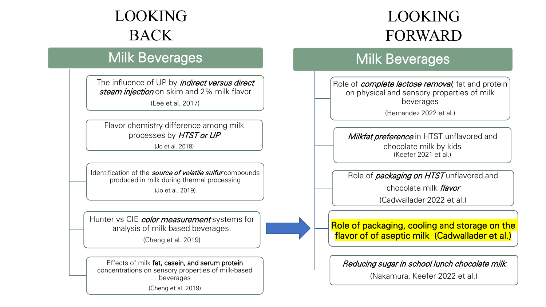### LOOKING BACK

# The Dairy Back of Back and Back beverages Milk Beverages Milk Beverages Milk Beverages

The influence of UP by *indirect versus direct* steam injection on skim and 2% milk flavor

(Lee et al. 2017)

Flavor chemistry difference among milk processes by HTST or UP

(Jo et al. 2018)

Identification of the *source of volatile sulfur* compounds produced in milk during thermal processing (Jo et al. 2019)

Hunter vs CIE color measurement systems for analysis of milk based beverages.

(Cheng et al. 2019)

Effects of milk fat, casein, and serum protein concentrations on sensory properties of milk-based beverages

(Cheng et al. 2019)

### LOOKING FORWARD

#### Milk Beverages

Role of *complete lactose removal*, fat and protein on physical and sensory properties of milk beverages

(Hernandez 2022 et al.)

Milkfat preference in HTST unflavored and chocolate milk by kids (Keefer 2021 et al.)

Role of *packaging on HTST* unflavored and

chocolate milk flavor

(Cadwallader 2022 et al.)

#### Role of packaging, cooling and storage on the flavor of of aseptic milk (Cadwallader et al.)

#### Reducing sugar in school lunch chocolate milk

(Nakamura, Keefer 2022 et al.)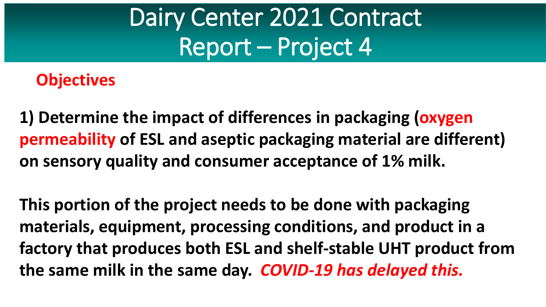### **Objectives**

**1) Determine the impact of differences in packaging (oxygen permeability of ESL and aseptic packaging material are different) on sensory quality and consumer acceptance of 1% milk.** 

**This portion of the project needs to be done with packaging materials, equipment, processing conditions, and product in a factory that produces both ESL and shelf-stable UHT product from the same milk in the same day.** *COVID-19 has delayed this.*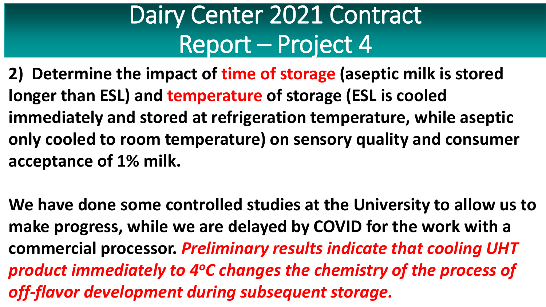**2) Determine the impact of time of storage (aseptic milk is stored longer than ESL) and temperature of storage (ESL is cooled immediately and stored at refrigeration temperature, while aseptic only cooled to room temperature) on sensory quality and consumer acceptance of 1% milk.**

**We have done some controlled studies at the University to allow us to make progress, while we are delayed by COVID for the work with a commercial processor.** *Preliminary results indicate that cooling UHT product immediately to 4oC changes the chemistry of the process of off-flavor development during subsequent storage.*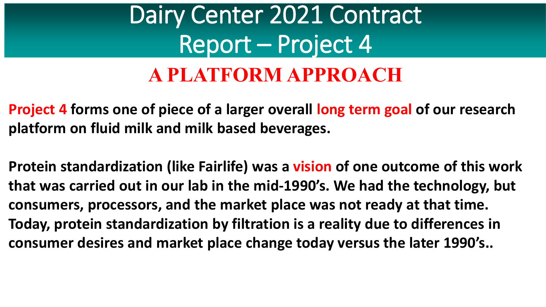### Dairy Center 2021 Contract Report – Project 4 **A PLATFORM APPROACH**

**Project 4 forms one of piece of a larger overall long term goal of our research platform on fluid milk and milk based beverages.** 

**Protein standardization (like Fairlife) was a vision of one outcome of this work that was carried out in our lab in the mid-1990's. We had the technology, but consumers, processors, and the market place was not ready at that time. Today, protein standardization by filtration is a reality due to differences in consumer desires and market place change today versus the later 1990's..**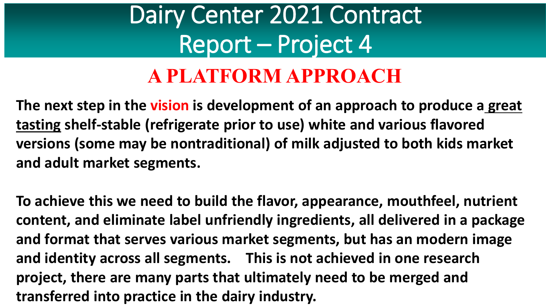### Dairy Center 2021 Contract Report – Project 4 **A PLATFORM APPROACH**

**The next step in the vision is development of an approach to produce a great tasting shelf-stable (refrigerate prior to use) white and various flavored versions (some may be nontraditional) of milk adjusted to both kids market and adult market segments.** 

**To achieve this we need to build the flavor, appearance, mouthfeel, nutrient content, and eliminate label unfriendly ingredients, all delivered in a package and format that serves various market segments, but has an modern image and identity across all segments. This is not achieved in one research project, there are many parts that ultimately need to be merged and transferred into practice in the dairy industry.**